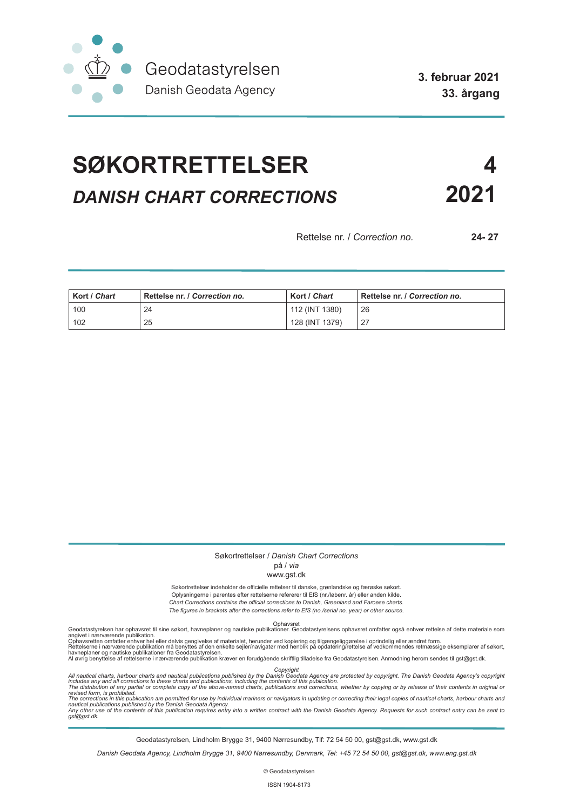

**3. februar 2021 33. årgang**

# **SØKORTRETTELSER 4** *DANISH CHART CORRECTIONS* **2021**

Rettelse nr. / *Correction no.* **24- 27**

| Kort / Chart | Rettelse nr. / Correction no. | Kort / Chart   | Rettelse nr. / Correction no. |
|--------------|-------------------------------|----------------|-------------------------------|
| 100          | 24                            | 112 (INT 1380) | -26                           |
| 102          | 25                            | 128 (INT 1379) |                               |

#### Søkortrettelser / *Danish Chart Corrections* på / *via*

#### www.gst.dk

Søkortrettelser indeholder de officielle rettelser til danske, grønlandske og færøske søkort. Oplysningerne i parentes efter rettelserne refererer til EfS (nr./løbenr. år) eller anden kilde. *Chart Corrections contains the official corrections to Danish, Greenland and Faroese charts. The figures in brackets after the corrections refer to EfS (no./serial no. year) or other source.*

Ophavsret Geodatastyrelsen har ophavsret til sine søkort, havneplaner og nautiske publikationer. Geodatastyrelsens ophavsret omfatter også enhver rettelse af dette materiale som

angivet i nærværende publikation.<br>Ophavsretten omfatter enhver hel eller delvis gengivelse af materialet, herunder ved kopiering og tilgængeliggørelse i oprindelig eller ændret form.<br>Rettelserne i nærværende publikation må

Copyright<br>includes any and all corrections to these charts and publications published by the Danish Agency are protected by copyright. The Danish Geodata Agency's copyright<br>includes any and all corrections to these charts

Geodatastyrelsen, Lindholm Brygge 31, 9400 Nørresundby, Tlf: 72 54 50 00, gst@gst.dk, www.gst.dk

*Danish Geodata Agency, Lindholm Brygge 31, 9400 Nørresundby, Denmark, Tel: +45 72 54 50 00, gst@gst.dk, www.eng.gst.dk*

© Geodatastyrelsen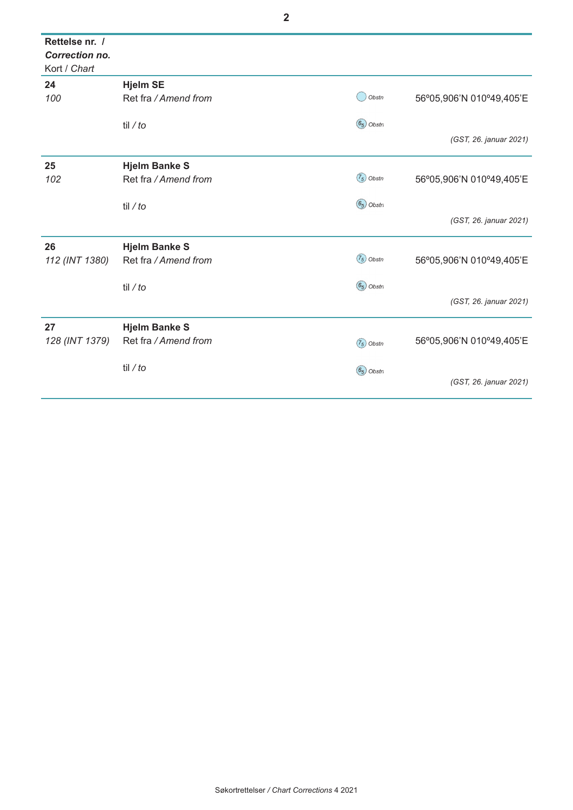| Rettelse nr. /<br><b>Correction no.</b><br>Kort / Chart |                      |              |                          |
|---------------------------------------------------------|----------------------|--------------|--------------------------|
| 24                                                      | <b>Hjelm SE</b>      |              |                          |
| 100                                                     | Ret fra / Amend from | Obstn        | 56°05,906'N 010°49,405'E |
|                                                         | til / $to$           | $(65)$ Obstn |                          |
|                                                         |                      |              | (GST, 26. januar 2021)   |
| 25                                                      | <b>Hjelm Banke S</b> |              |                          |
| 102                                                     | Ret fra / Amend from | $(75)$ Obstn | 56°05,906'N 010°49,405'E |
|                                                         | til / $to$           | $(65)$ Obstn |                          |
|                                                         |                      |              | (GST, 26. januar 2021)   |
| 26                                                      | <b>Hjelm Banke S</b> |              |                          |
| 112 (INT 1380)                                          | Ret fra / Amend from | $(75)$ Obstn | 56°05,906'N 010°49,405'E |
|                                                         | til / $to$           | $(65)$ Obstn |                          |
|                                                         |                      |              | (GST, 26. januar 2021)   |
| 27                                                      | <b>Hjelm Banke S</b> |              |                          |
| 128 (INT 1379)                                          | Ret fra / Amend from | $(75)$ Obstn | 56°05,906'N 010°49,405'E |
|                                                         | til / $to$           | $(65)$ Obstn |                          |
|                                                         |                      |              | (GST, 26. januar 2021)   |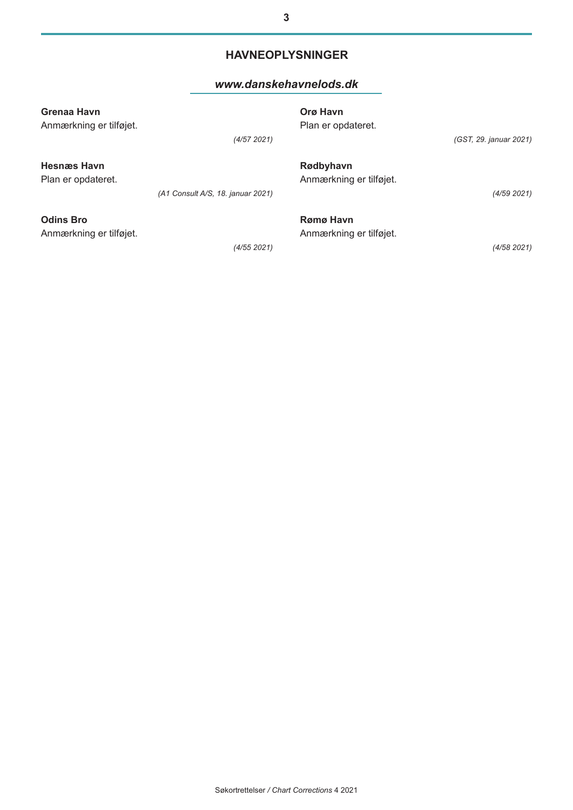#### **HAVNEOPLYSNINGER**

#### *[www.danskehavnelods.dk](http://www.danskehavnelods.dk/)*

| Grenaa Havn<br>Anmærkning er tilføjet.      | (4/57 2021)                       | Orø Havn<br>Plan er opdateret.       | (GST, 29. januar 2021) |
|---------------------------------------------|-----------------------------------|--------------------------------------|------------------------|
| <b>Hesnæs Havn</b><br>Plan er opdateret.    | (A1 Consult A/S, 18. januar 2021) | Rødbyhavn<br>Anmærkning er tilføjet. | (4/59 2021)            |
| <b>Odins Bro</b><br>Anmærkning er tilføjet. | (4/55 2021)                       | Rømø Havn<br>Anmærkning er tilføjet. | (4/58 2021)            |